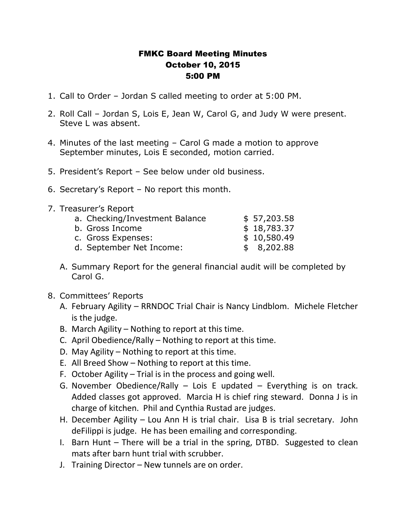## FMKC Board Meeting Minutes October 10, 2015 5:00 PM

- 1. Call to Order Jordan S called meeting to order at 5:00 PM.
- 2. Roll Call Jordan S, Lois E, Jean W, Carol G, and Judy W were present. Steve L was absent.
- 4. Minutes of the last meeting Carol G made a motion to approve September minutes, Lois E seconded, motion carried.
- 5. President's Report See below under old business.
- 6. Secretary's Report No report this month.
- 7. Treasurer's Report

| a. Checking/Investment Balance | \$57,203.58 |
|--------------------------------|-------------|
| b. Gross Income                | \$18,783.37 |
| c. Gross Expenses:             | \$10,580.49 |
| d. September Net Income:       | \$8,202.88  |

- A. Summary Report for the general financial audit will be completed by Carol G.
- 8. Committees' Reports
	- A. February Agility RRNDOC Trial Chair is Nancy Lindblom. Michele Fletcher is the judge.
	- B. March Agility Nothing to report at this time.
	- C. April Obedience/Rally Nothing to report at this time.
	- D. May Agility Nothing to report at this time.
	- E. All Breed Show Nothing to report at this time.
	- F. October Agility Trial is in the process and going well.
	- G. November Obedience/Rally Lois E updated Everything is on track. Added classes got approved. Marcia H is chief ring steward. Donna J is in charge of kitchen. Phil and Cynthia Rustad are judges.
	- H. December Agility Lou Ann H is trial chair. Lisa B is trial secretary. John deFilippi is judge. He has been emailing and corresponding.
	- I. Barn Hunt There will be a trial in the spring, DTBD. Suggested to clean mats after barn hunt trial with scrubber.
	- J. Training Director New tunnels are on order.